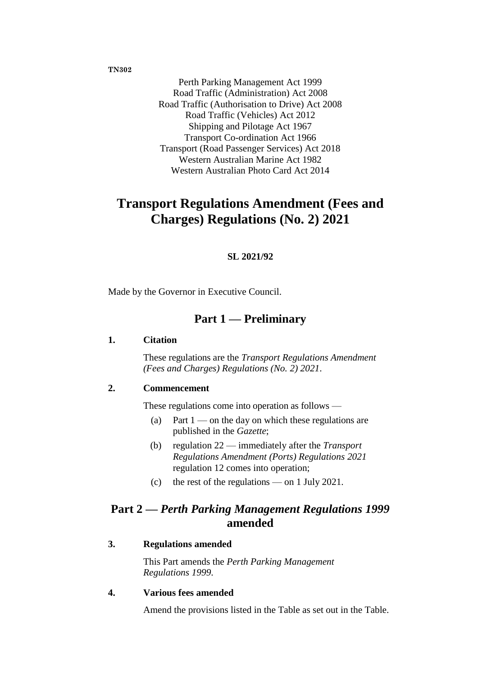**TN302**

Perth Parking Management Act 1999 Road Traffic (Administration) Act 2008 Road Traffic (Authorisation to Drive) Act 2008 Road Traffic (Vehicles) Act 2012 Shipping and Pilotage Act 1967 Transport Co-ordination Act 1966 Transport (Road Passenger Services) Act 2018 Western Australian Marine Act 1982 Western Australian Photo Card Act 2014

# **Transport Regulations Amendment (Fees and Charges) Regulations (No. 2) 2021**

#### **SL 2021/92**

Made by the Governor in Executive Council.

# **Part 1 — Preliminary**

#### **1. Citation**

These regulations are the *Transport Regulations Amendment (Fees and Charges) Regulations (No. 2) 2021*.

#### **2. Commencement**

These regulations come into operation as follows —

- (a) Part  $1$  on the day on which these regulations are published in the *Gazette*;
- (b) regulation 22 immediately after the *Transport Regulations Amendment (Ports) Regulations 2021* regulation 12 comes into operation;
- (c) the rest of the regulations on 1 July 2021.

# **Part 2 —** *Perth Parking Management Regulations 1999* **amended**

#### **3. Regulations amended**

This Part amends the *Perth Parking Management Regulations 1999*.

#### **4. Various fees amended**

Amend the provisions listed in the Table as set out in the Table.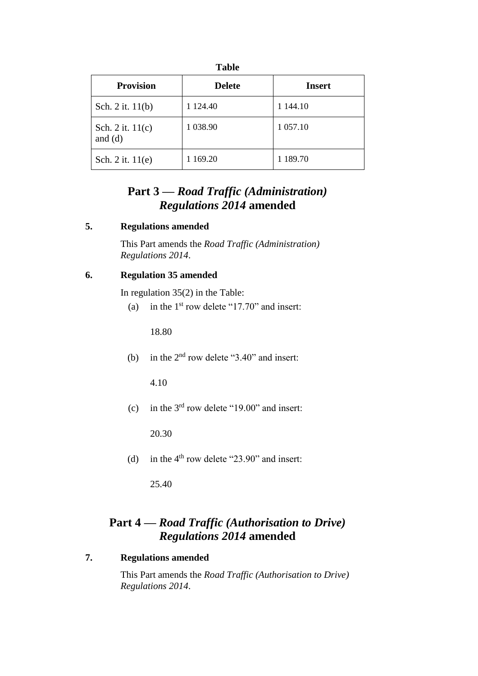| <b>Table</b>                  |               |               |
|-------------------------------|---------------|---------------|
| <b>Provision</b>              | <b>Delete</b> | <b>Insert</b> |
| Sch. 2 it. 11(b)              | 1 1 24.40     | 1 144.10      |
| Sch. 2 it. 11(c)<br>and $(d)$ | 1 0 38.90     | 1 0 57.10     |
| Sch. 2 it. 11(e)              | 169.20        | 1 189.70      |

# **Part 3 —** *Road Traffic (Administration) Regulations 2014* **amended**

#### **5. Regulations amended**

This Part amends the *Road Traffic (Administration) Regulations 2014*.

#### **6. Regulation 35 amended**

In regulation 35(2) in the Table:

(a) in the  $1<sup>st</sup>$  row delete "17.70" and insert:

18.80

(b) in the  $2<sup>nd</sup>$  row delete "3.40" and insert:

4.10

(c) in the  $3<sup>rd</sup>$  row delete "19.00" and insert:

20.30

(d) in the  $4<sup>th</sup>$  row delete "23.90" and insert:

25.40

# **Part 4 —** *Road Traffic (Authorisation to Drive) Regulations 2014* **amended**

### **7. Regulations amended**

This Part amends the *Road Traffic (Authorisation to Drive) Regulations 2014*.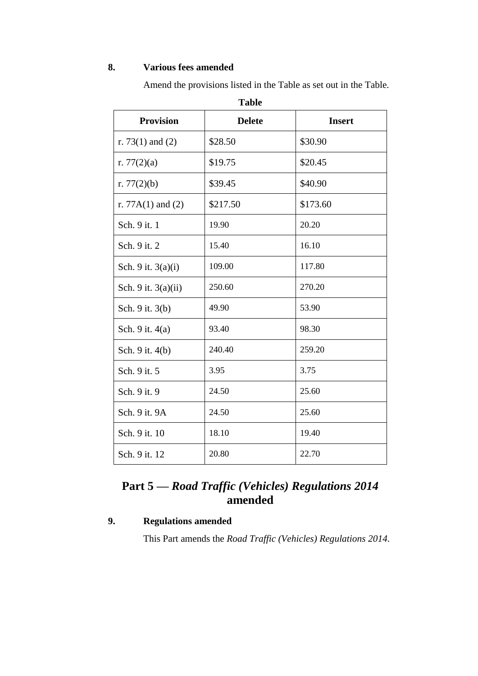### **8. Various fees amended**

Amend the provisions listed in the Table as set out in the Table.

| <b>Table</b>          |               |               |
|-----------------------|---------------|---------------|
| <b>Provision</b>      | <b>Delete</b> | <b>Insert</b> |
| r. 73 $(1)$ and $(2)$ | \$28.50       | \$30.90       |
| r. $77(2)(a)$         | \$19.75       | \$20.45       |
| r. $77(2)(b)$         | \$39.45       | \$40.90       |
| r. $77A(1)$ and $(2)$ | \$217.50      | \$173.60      |
| Sch. 9 it. 1          | 19.90         | 20.20         |
| Sch. 9 it. 2          | 15.40         | 16.10         |
| Sch. 9 it. $3(a)(i)$  | 109.00        | 117.80        |
| Sch. 9 it. $3(a)(ii)$ | 250.60        | 270.20        |
| Sch. 9 it. 3(b)       | 49.90         | 53.90         |
| Sch. 9 it. 4(a)       | 93.40         | 98.30         |
| Sch. 9 it. 4(b)       | 240.40        | 259.20        |
| Sch. 9 it. 5          | 3.95          | 3.75          |
| Sch. 9 it. 9          | 24.50         | 25.60         |
| Sch. 9 it. 9A         | 24.50         | 25.60         |
| Sch. 9 it. 10         | 18.10         | 19.40         |
| Sch. 9 it. 12         | 20.80         | 22.70         |

# **Part 5 —** *Road Traffic (Vehicles) Regulations 2014* **amended**

### **9. Regulations amended**

This Part amends the *Road Traffic (Vehicles) Regulations 2014*.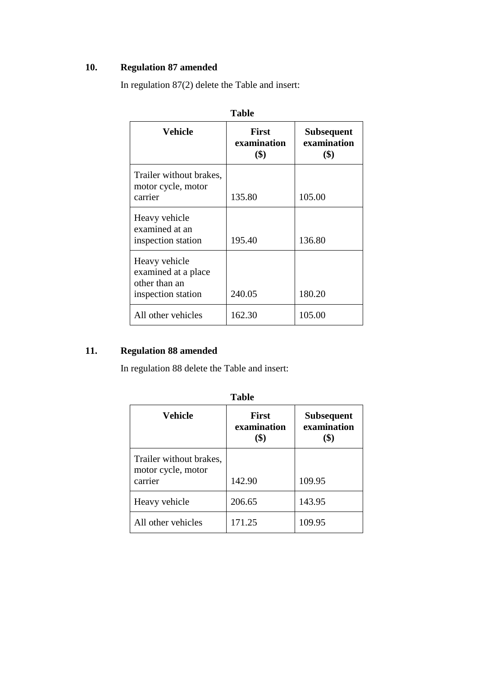## **10. Regulation 87 amended**

| Vehicle                                                                     | <b>First</b><br>examination<br>$\left( \text{\$}\right)$ | <b>Subsequent</b><br>examination<br>$\left( \text{\$}\right)$ |
|-----------------------------------------------------------------------------|----------------------------------------------------------|---------------------------------------------------------------|
| Trailer without brakes,<br>motor cycle, motor<br>carrier                    | 135.80                                                   | 105.00                                                        |
| Heavy vehicle<br>examined at an<br>inspection station                       | 195.40                                                   | 136.80                                                        |
| Heavy vehicle<br>examined at a place<br>other than an<br>inspection station | 240.05                                                   | 180.20                                                        |
| All other vehicles                                                          | 162.30                                                   | 105.00                                                        |

In regulation 87(2) delete the Table and insert:

# **11. Regulation 88 amended**

In regulation 88 delete the Table and insert:

| Tunic                                                    |                             |                                  |
|----------------------------------------------------------|-----------------------------|----------------------------------|
| <b>Vehicle</b>                                           | <b>First</b><br>examination | <b>Subsequent</b><br>examination |
| Trailer without brakes,<br>motor cycle, motor<br>carrier | 142.90                      | 109.95                           |
| Heavy vehicle                                            | 206.65                      | 143.95                           |
| All other vehicles                                       | 171.25                      | 109.95                           |

**Table**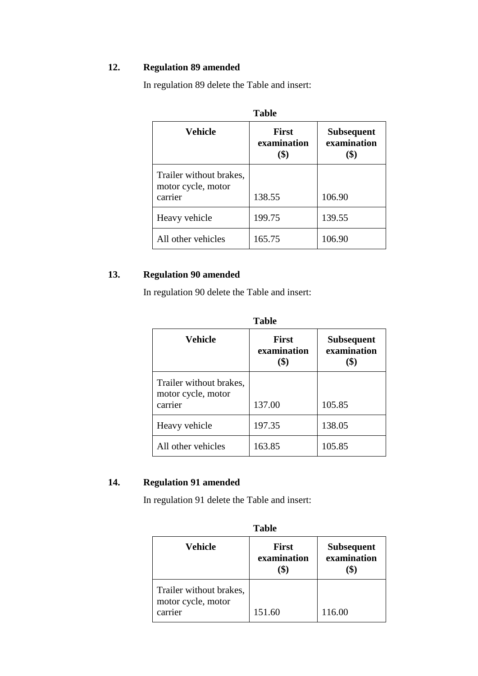## **12. Regulation 89 amended**

In regulation 89 delete the Table and insert:

| <b>Table</b>                                             |                                    |                                          |
|----------------------------------------------------------|------------------------------------|------------------------------------------|
| Vehicle                                                  | <b>First</b><br>examination<br>\$) | <b>Subsequent</b><br>examination<br>(\$) |
| Trailer without brakes,<br>motor cycle, motor<br>carrier | 138.55                             | 106.90                                   |
| Heavy vehicle                                            | 199.75                             | 139.55                                   |
| All other vehicles                                       | 165.75                             | 106.90                                   |

**13. Regulation 90 amended**

In regulation 90 delete the Table and insert:

| <b>Vehicle</b>                                           | <b>First</b><br>examination<br>\$) | <b>Subsequent</b><br>examination<br>(\$) |  |
|----------------------------------------------------------|------------------------------------|------------------------------------------|--|
| Trailer without brakes,<br>motor cycle, motor<br>carrier | 137.00                             | 105.85                                   |  |
| Heavy vehicle                                            | 197.35                             | 138.05                                   |  |
| All other vehicles                                       | 163.85                             | 105.85                                   |  |

## **14. Regulation 91 amended**

In regulation 91 delete the Table and insert:

| <b>Table</b>                                             |                             |                                  |
|----------------------------------------------------------|-----------------------------|----------------------------------|
| Vehicle                                                  | <b>First</b><br>examination | <b>Subsequent</b><br>examination |
| Trailer without brakes,<br>motor cycle, motor<br>carrier | 151.60                      | 116.00                           |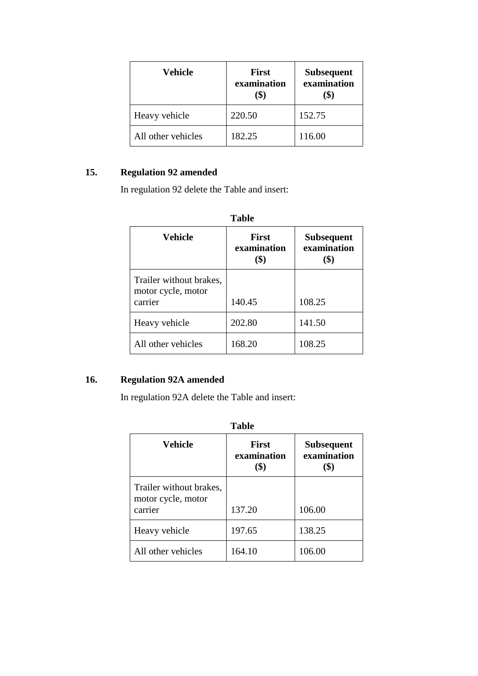| Vehicle            | <b>First</b><br>examination | <b>Subsequent</b><br>examination |
|--------------------|-----------------------------|----------------------------------|
| Heavy vehicle      | 220.50                      | 152.75                           |
| All other vehicles | 182.25                      | 116.00                           |

## **15. Regulation 92 amended**

In regulation 92 delete the Table and insert:

| <b>Table</b>                                             |                             |                                  |
|----------------------------------------------------------|-----------------------------|----------------------------------|
| <b>Vehicle</b>                                           | <b>First</b><br>examination | <b>Subsequent</b><br>examination |
| Trailer without brakes,<br>motor cycle, motor<br>carrier | 140.45                      | 108.25                           |
| Heavy vehicle                                            | 202.80                      | 141.50                           |
| All other vehicles                                       | 168.20                      | 108.25                           |

## **16. Regulation 92A amended**

In regulation 92A delete the Table and insert:

| <b>Table</b>                                             |                             |                                  |
|----------------------------------------------------------|-----------------------------|----------------------------------|
| <b>Vehicle</b>                                           | <b>First</b><br>examination | <b>Subsequent</b><br>examination |
| Trailer without brakes,<br>motor cycle, motor<br>carrier | 137.20                      | 106.00                           |
| Heavy vehicle                                            | 197.65                      | 138.25                           |
| All other vehicles                                       | 164.10                      | 106.00                           |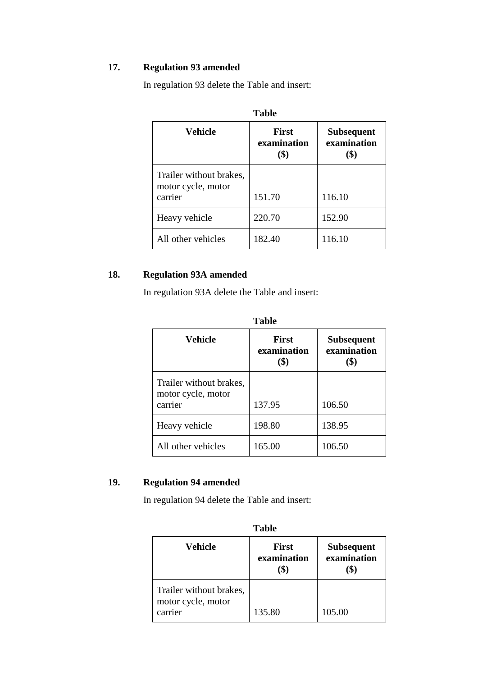## **17. Regulation 93 amended**

In regulation 93 delete the Table and insert:

| <b>Table</b>                                             |                                    |                                          |
|----------------------------------------------------------|------------------------------------|------------------------------------------|
| Vehicle                                                  | <b>First</b><br>examination<br>\$) | <b>Subsequent</b><br>examination<br>(\$) |
| Trailer without brakes,<br>motor cycle, motor<br>carrier | 151.70                             | 116.10                                   |
| Heavy vehicle                                            | 220.70                             | 152.90                                   |
| All other vehicles                                       | 182.40                             | 116.10                                   |

**18. Regulation 93A amended**

In regulation 93A delete the Table and insert:

| <b>Vehicle</b>                                           | <b>First</b><br>examination<br>\$) | <b>Subsequent</b><br>examination<br>(\$) |  |
|----------------------------------------------------------|------------------------------------|------------------------------------------|--|
| Trailer without brakes,<br>motor cycle, motor<br>carrier | 137.95                             | 106.50                                   |  |
| Heavy vehicle                                            | 198.80                             | 138.95                                   |  |
| All other vehicles                                       | 165.00                             | 106.50                                   |  |

| abie |
|------|
|------|

## **19. Regulation 94 amended**

In regulation 94 delete the Table and insert:

| <b>Table</b>                                             |                             |                                  |  |
|----------------------------------------------------------|-----------------------------|----------------------------------|--|
| Vehicle                                                  | <b>First</b><br>examination | <b>Subsequent</b><br>examination |  |
| Trailer without brakes,<br>motor cycle, motor<br>carrier | 135.80                      | 105.00                           |  |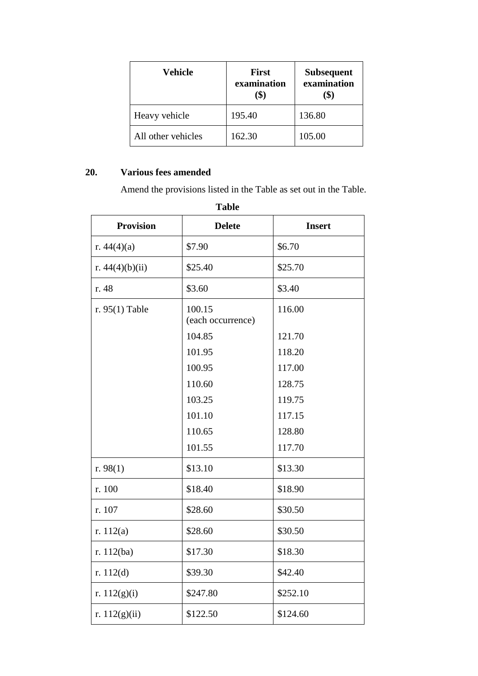| Vehicle            | <b>First</b><br>examination | <b>Subsequent</b><br>examination |
|--------------------|-----------------------------|----------------------------------|
| Heavy vehicle      | 195.40                      | 136.80                           |
| All other vehicles | 162.30                      | 105.00                           |

## **20. Various fees amended**

Amend the provisions listed in the Table as set out in the Table.

| <b>Table</b>      |                                       |               |  |  |
|-------------------|---------------------------------------|---------------|--|--|
| <b>Provision</b>  | <b>Delete</b>                         | <b>Insert</b> |  |  |
| r. $44(4)(a)$     | \$7.90                                | \$6.70        |  |  |
| r. $44(4)(b)(ii)$ | \$25.40                               | \$25.70       |  |  |
| r. 48             | \$3.60                                | \$3.40        |  |  |
| r. $95(1)$ Table  | 100.15<br>116.00<br>(each occurrence) |               |  |  |
|                   | 104.85                                | 121.70        |  |  |
|                   | 101.95                                | 118.20        |  |  |
|                   | 100.95                                | 117.00        |  |  |
|                   | 110.60                                | 128.75        |  |  |
|                   | 103.25                                | 119.75        |  |  |
|                   | 101.10                                | 117.15        |  |  |
|                   | 110.65                                | 128.80        |  |  |
|                   | 101.55                                | 117.70        |  |  |
| r. $98(1)$        | \$13.10                               | \$13.30       |  |  |
| r. 100            | \$18.40                               | \$18.90       |  |  |
| r. 107            | \$28.60                               | \$30.50       |  |  |
| r. $112(a)$       | \$28.60                               | \$30.50       |  |  |
| r. 112(ba)        | \$17.30                               | \$18.30       |  |  |
| r. $112(d)$       | \$39.30                               | \$42.40       |  |  |
| r. $112(g)(i)$    | \$247.80                              | \$252.10      |  |  |
| r. $112(g)(ii)$   | \$122.50                              | \$124.60      |  |  |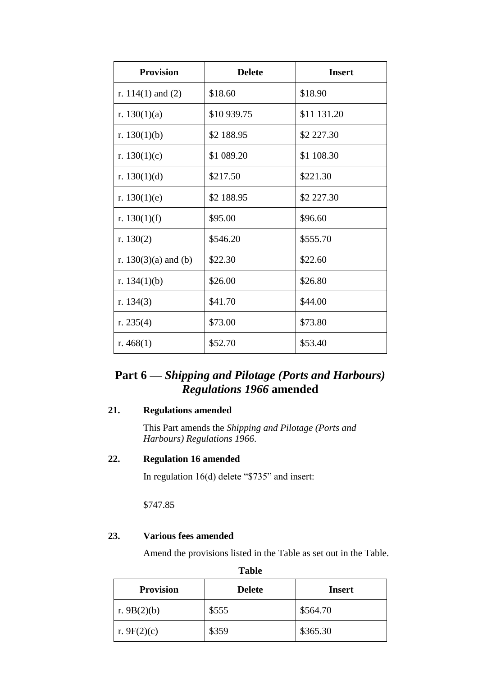| <b>Provision</b>       | <b>Delete</b> | <b>Insert</b> |
|------------------------|---------------|---------------|
| r. $114(1)$ and $(2)$  | \$18.60       | \$18.90       |
| r. $130(1)(a)$         | \$10 939.75   | \$11 131.20   |
| r. $130(1)(b)$         | \$2 188.95    | \$2 227.30    |
| r. $130(1)(c)$         | \$1 089.20    | \$1 108.30    |
| r. $130(1)(d)$         | \$217.50      | \$221.30      |
| r. $130(1)(e)$         | \$2 188.95    | \$2 227.30    |
| r. $130(1)(f)$         | \$95.00       | \$96.60       |
| r. $130(2)$            | \$546.20      | \$555.70      |
| r. $130(3)(a)$ and (b) | \$22.30       | \$22.60       |
| r. $134(1)(b)$         | \$26.00       | \$26.80       |
| r. $134(3)$            | \$41.70       | \$44.00       |
| r. $235(4)$            | \$73.00       | \$73.80       |
| r. $468(1)$            | \$52.70       | \$53.40       |

# **Part 6 —** *Shipping and Pilotage (Ports and Harbours) Regulations 1966* **amended**

## **21. Regulations amended**

This Part amends the *Shipping and Pilotage (Ports and Harbours) Regulations 1966*.

#### **22. Regulation 16 amended**

In regulation 16(d) delete "\$735" and insert:

\$747.85

### **23. Various fees amended**

Amend the provisions listed in the Table as set out in the Table.

| -------          |               |               |
|------------------|---------------|---------------|
| <b>Provision</b> | <b>Delete</b> | <b>Insert</b> |
| r. $9B(2)(b)$    | \$555         | \$564.70      |
| r. 9 $F(2)(c)$   | \$359         | \$365.30      |

| ۰, |
|----|
|----|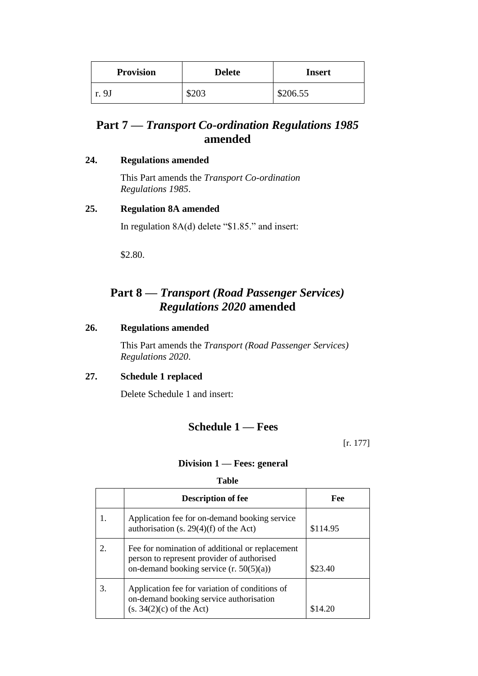| <b>Provision</b> | <b>Delete</b> | <b>Insert</b> |
|------------------|---------------|---------------|
| r. 9J            | \$203         | \$206.55      |

# **Part 7 —** *Transport Co-ordination Regulations 1985* **amended**

#### **24. Regulations amended**

This Part amends the *Transport Co-ordination Regulations 1985*.

### **25. Regulation 8A amended**

In regulation 8A(d) delete "\$1.85." and insert:

\$2.80.

# **Part 8 —** *Transport (Road Passenger Services) Regulations 2020* **amended**

#### **26. Regulations amended**

This Part amends the *Transport (Road Passenger Services) Regulations 2020*.

### **27. Schedule 1 replaced**

Delete Schedule 1 and insert:

## **Schedule 1 — Fees**

[r. 177]

### **Division 1 — Fees: general**

**Table**

|    | <b>Description of fee</b>                                                                                                                  | Fee      |
|----|--------------------------------------------------------------------------------------------------------------------------------------------|----------|
| 1. | Application fee for on-demand booking service<br>authorisation (s. 29(4)(f) of the Act)                                                    | \$114.95 |
| 2. | Fee for nomination of additional or replacement<br>person to represent provider of authorised<br>on-demand booking service $(r. 50(5)(a))$ | \$23.40  |
| 3. | Application fee for variation of conditions of<br>on-demand booking service authorisation<br>$(s. 34(2)(c)$ of the Act)                    | \$14.20  |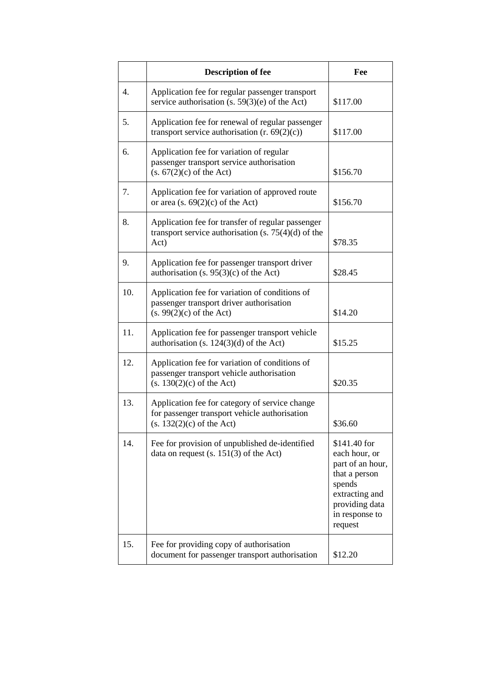|     | <b>Description of fee</b>                                                                                                      | Fee                                                                                                                                           |
|-----|--------------------------------------------------------------------------------------------------------------------------------|-----------------------------------------------------------------------------------------------------------------------------------------------|
| 4.  | Application fee for regular passenger transport<br>service authorisation (s. $59(3)(e)$ of the Act)                            | \$117.00                                                                                                                                      |
| 5.  | Application fee for renewal of regular passenger<br>transport service authorisation $(r. 69(2)(c))$                            | \$117.00                                                                                                                                      |
| 6.  | Application fee for variation of regular<br>passenger transport service authorisation<br>$(s. 67(2)(c)$ of the Act)            | \$156.70                                                                                                                                      |
| 7.  | Application fee for variation of approved route<br>or area (s. $69(2)(c)$ of the Act)                                          | \$156.70                                                                                                                                      |
| 8.  | Application fee for transfer of regular passenger<br>transport service authorisation (s. $75(4)(d)$ of the<br>Act)             | \$78.35                                                                                                                                       |
| 9.  | Application fee for passenger transport driver<br>authorisation (s. $95(3)(c)$ of the Act)                                     | \$28.45                                                                                                                                       |
| 10. | Application fee for variation of conditions of<br>passenger transport driver authorisation<br>$(s. 99(2)(c)$ of the Act)       | \$14.20                                                                                                                                       |
| 11. | Application fee for passenger transport vehicle<br>authorisation (s. $124(3)(d)$ of the Act)                                   | \$15.25                                                                                                                                       |
| 12. | Application fee for variation of conditions of<br>passenger transport vehicle authorisation<br>$(s. 130(2)(c)$ of the Act)     | \$20.35                                                                                                                                       |
| 13. | Application fee for category of service change<br>for passenger transport vehicle authorisation<br>$(s. 132(2)(c)$ of the Act) | \$36.60                                                                                                                                       |
| 14. | Fee for provision of unpublished de-identified<br>data on request $(s. 151(3)$ of the Act)                                     | \$141.40 for<br>each hour, or<br>part of an hour,<br>that a person<br>spends<br>extracting and<br>providing data<br>in response to<br>request |
| 15. | Fee for providing copy of authorisation<br>document for passenger transport authorisation                                      | \$12.20                                                                                                                                       |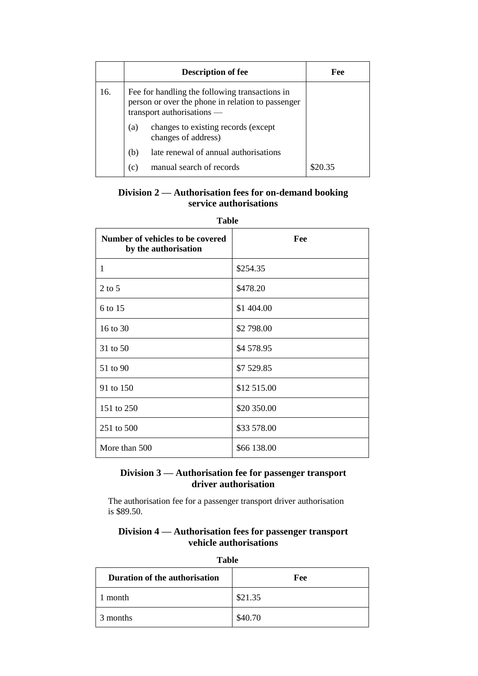|     | <b>Description of fee</b>                                                                                                         | Fee     |
|-----|-----------------------------------------------------------------------------------------------------------------------------------|---------|
| 16. | Fee for handling the following transactions in<br>person or over the phone in relation to passenger<br>transport authorisations — |         |
|     | changes to existing records (except<br>(a)<br>changes of address)                                                                 |         |
|     | late renewal of annual authorisations<br>(b)                                                                                      |         |
|     | manual search of records<br>(c)                                                                                                   | \$20.35 |

## **Division 2 — Authorisation fees for on-demand booking service authorisations**

| Number of vehicles to be covered<br>by the authorisation | Fee         |
|----------------------------------------------------------|-------------|
| 1                                                        | \$254.35    |
| $2$ to 5                                                 | \$478.20    |
| 6 to 15                                                  | \$1 404.00  |
| 16 to 30                                                 | \$2 798.00  |
| 31 to 50                                                 | \$4 578.95  |
| 51 to 90                                                 | \$7 529.85  |
| 91 to 150                                                | \$12 515.00 |
| 151 to 250                                               | \$20 350.00 |
| 251 to 500                                               | \$33 578.00 |
| More than 500                                            | \$66 138.00 |

#### **Table**

### **Division 3 — Authorisation fee for passenger transport driver authorisation**

The authorisation fee for a passenger transport driver authorisation is \$89.50.

#### **Division 4 — Authorisation fees for passenger transport vehicle authorisations**

| 1 avie                        |         |  |  |
|-------------------------------|---------|--|--|
| Duration of the authorisation | Fee     |  |  |
| month                         | \$21.35 |  |  |
| 3 months                      | \$40.70 |  |  |

**Table**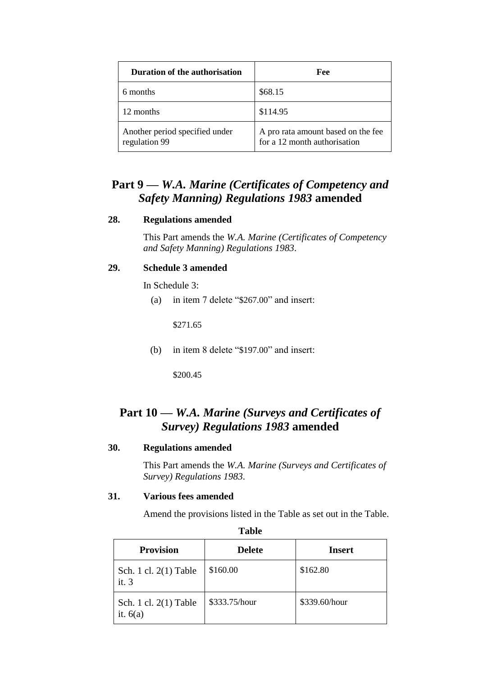| Duration of the authorisation                   | Fee                                                                |
|-------------------------------------------------|--------------------------------------------------------------------|
| 6 months                                        | \$68.15                                                            |
| 12 months                                       | \$114.95                                                           |
| Another period specified under<br>regulation 99 | A pro rata amount based on the fee<br>for a 12 month authorisation |

# **Part 9 —** *W.A. Marine (Certificates of Competency and Safety Manning) Regulations 1983* **amended**

#### **28. Regulations amended**

This Part amends the *W.A. Marine (Certificates of Competency and Safety Manning) Regulations 1983*.

#### **29. Schedule 3 amended**

In Schedule 3:

(a) in item 7 delete "\$267.00" and insert:

\$271.65

(b) in item 8 delete "\$197.00" and insert:

\$200.45

# **Part 10 —** *W.A. Marine (Surveys and Certificates of Survey) Regulations 1983* **amended**

#### **30. Regulations amended**

This Part amends the *W.A. Marine (Surveys and Certificates of Survey) Regulations 1983*.

#### **31. Various fees amended**

Amend the provisions listed in the Table as set out in the Table.

| Tavit                                 |               |               |  |  |
|---------------------------------------|---------------|---------------|--|--|
| <b>Provision</b>                      | <b>Delete</b> | <b>Insert</b> |  |  |
| Sch. 1 cl. $2(1)$ Table<br>it.3       | \$160.00      | \$162.80      |  |  |
| Sch. 1 cl. $2(1)$ Table<br>it. $6(a)$ | \$333.75/hour | \$339.60/hour |  |  |

**Table**